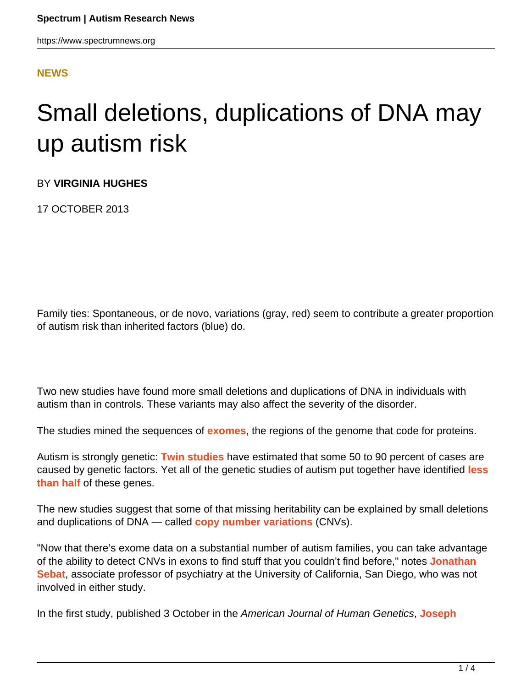#### **[NEWS](HTTPS://WWW.SPECTRUMNEWS.ORG/NEWS/)**

# Small deletions, duplications of DNA may up autism risk

BY **VIRGINIA HUGHES**

17 OCTOBER 2013

Family ties: Spontaneous, or de novo, variations (gray, red) seem to contribute a greater proportion of autism risk than inherited factors (blue) do.

Two new studies have found more small deletions and duplications of DNA in individuals with autism than in controls. These variants may also affect the severity of the disorder.

The studies mined the sequences of **[exomes](https://www.spectrumnews.org/wiki/exome)**, the regions of the genome that code for proteins.

Autism is strongly genetic: **[Twin studies](https://www.spectrumnews.org/classic-paper-reviews/2008/1977-paper-on-the-first-autism-twin-study-commentary-by-angelica-ronald-and-robert-plomin)** have estimated that some 50 to 90 percent of cases are caused by genetic factors. Yet all of the genetic studies of autism put together have identified **[less](https://www.spectrumnews.org/blog/2013/guest-blog-slicing-the-genetic-pie) [than half](https://www.spectrumnews.org/blog/2013/guest-blog-slicing-the-genetic-pie)** of these genes.

The new studies suggest that some of that missing heritability can be explained by small deletions and duplications of DNA — called **[copy number variations](https://www.spectrumnews.org/wiki/copy-number-variation)** (CNVs).

"Now that there's exome data on a substantial number of autism families, you can take advantage of the ability to detect CNVs in exons to find stuff that you couldn't find before," notes **[Jonathan](http://sfari.org/author/?author=https://id.simonsfoundation.org/jsebat) [Sebat](http://sfari.org/author/?author=https://id.simonsfoundation.org/jsebat)**, associate professor of psychiatry at the University of California, San Diego, who was not involved in either study.

In the first study, published 3 October in the American Journal of Human Genetics, **[Joseph](http://sfari.org/author/?author=https://id.simonsfoundation.org/buxbaum)**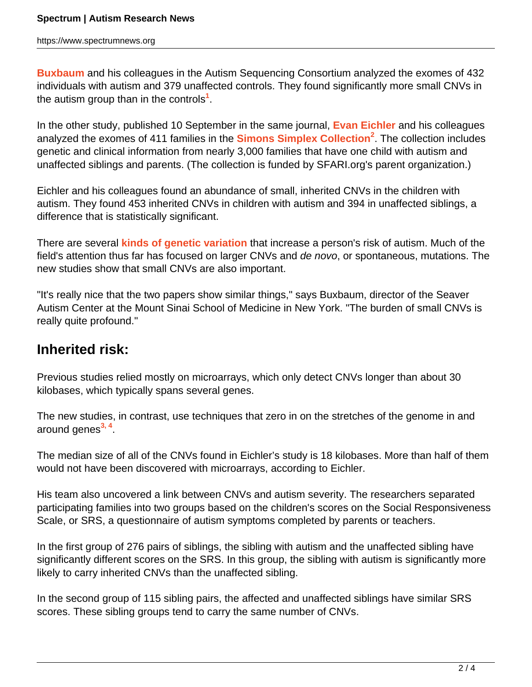**[Buxbaum](http://sfari.org/author/?author=https://id.simonsfoundation.org/buxbaum)** and his colleagues in the Autism Sequencing Consortium analyzed the exomes of 432 individuals with autism and 379 unaffected controls. They found significantly more small CNVs in the autism group than in the controls**<sup>1</sup>** .

In the other study, published 10 September in the same journal, **[Evan Eichler](https://www.spectrumnews.org/investigator-profiles/2010/evan-eichler-following-his-instincts-to-autism-hotspots)** and his colleagues analyzed the exomes of 411 families in the **[Simons Simplex Collection](http://sfari.org/resources/simons-simplex-collection)<sup>2</sup>** . The collection includes genetic and clinical information from nearly 3,000 families that have one child with autism and unaffected siblings and parents. (The collection is funded by SFARI.org's parent organization.)

Eichler and his colleagues found an abundance of small, inherited CNVs in the children with autism. They found 453 inherited CNVs in children with autism and 394 in unaffected siblings, a difference that is statistically significant.

There are several **[kinds of genetic variation](https://www.spectrumnews.org/blog/2013/guest-blog-slicing-the-genetic-pie)** that increase a person's risk of autism. Much of the field's attention thus far has focused on larger CNVs and de novo, or spontaneous, mutations. The new studies show that small CNVs are also important.

"It's really nice that the two papers show similar things," says Buxbaum, director of the Seaver Autism Center at the Mount Sinai School of Medicine in New York. "The burden of small CNVs is really quite profound."

### **Inherited risk:**

Previous studies relied mostly on microarrays, which only detect CNVs longer than about 30 kilobases, which typically spans several genes.

The new studies, in contrast, use techniques that zero in on the stretches of the genome in and around genes**3, 4** .

The median size of all of the CNVs found in Eichler's study is 18 kilobases. More than half of them would not have been discovered with microarrays, according to Eichler.

His team also uncovered a link between CNVs and autism severity. The researchers separated participating families into two groups based on the children's scores on the Social Responsiveness Scale, or SRS, a questionnaire of autism symptoms completed by parents or teachers.

In the first group of 276 pairs of siblings, the sibling with autism and the unaffected sibling have significantly different scores on the SRS. In this group, the sibling with autism is significantly more likely to carry inherited CNVs than the unaffected sibling.

In the second group of 115 sibling pairs, the affected and unaffected siblings have similar SRS scores. These sibling groups tend to carry the same number of CNVs.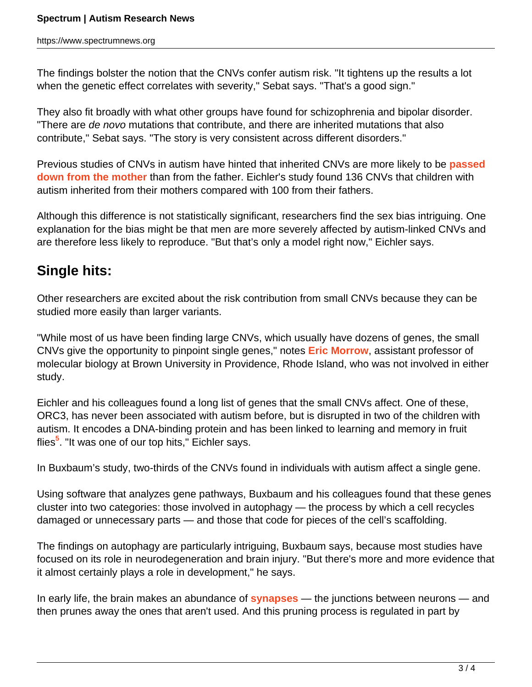The findings bolster the notion that the CNVs confer autism risk. "It tightens up the results a lot when the genetic effect correlates with severity," Sebat says. "That's a good sign."

They also fit broadly with what other groups have found for schizophrenia and bipolar disorder. "There are *de novo* mutations that contribute, and there are inherited mutations that also contribute," Sebat says. "The story is very consistent across different disorders."

Previous studies of CNVs in autism have hinted that inherited CNVs are more likely to be **[passed](https://www.spectrumnews.org/news/2008/the-case-for-copy-number-variations-in-autism) [down from the mother](https://www.spectrumnews.org/news/2008/the-case-for-copy-number-variations-in-autism)** than from the father. Eichler's study found 136 CNVs that children with autism inherited from their mothers compared with 100 from their fathers.

Although this difference is not statistically significant, researchers find the sex bias intriguing. One explanation for the bias might be that men are more severely affected by autism-linked CNVs and are therefore less likely to reproduce. "But that's only a model right now," Eichler says.

## **Single hits:**

Other researchers are excited about the risk contribution from small CNVs because they can be studied more easily than larger variants.

"While most of us have been finding large CNVs, which usually have dozens of genes, the small CNVs give the opportunity to pinpoint single genes," notes **[Eric Morrow](http://sfari.org/author/?author=https://id.simonsfoundation.org/ericmorrow)**, assistant professor of molecular biology at Brown University in Providence, Rhode Island, who was not involved in either study.

Eichler and his colleagues found a long list of genes that the small CNVs affect. One of these, ORC3, has never been associated with autism before, but is disrupted in two of the children with autism. It encodes a DNA-binding protein and has been linked to learning and memory in fruit flies**<sup>5</sup>** . "It was one of our top hits," Eichler says.

In Buxbaum's study, two-thirds of the CNVs found in individuals with autism affect a single gene.

Using software that analyzes gene pathways, Buxbaum and his colleagues found that these genes cluster into two categories: those involved in autophagy — the process by which a cell recycles damaged or unnecessary parts — and those that code for pieces of the cell's scaffolding.

The findings on autophagy are particularly intriguing, Buxbaum says, because most studies have focused on its role in neurodegeneration and brain injury. "But there's more and more evidence that it almost certainly plays a role in development," he says.

In early life, the brain makes an abundance of **[synapses](https://www.spectrumnews.org/wiki/synapse)** — the junctions between neurons — and then prunes away the ones that aren't used. And this pruning process is regulated in part by